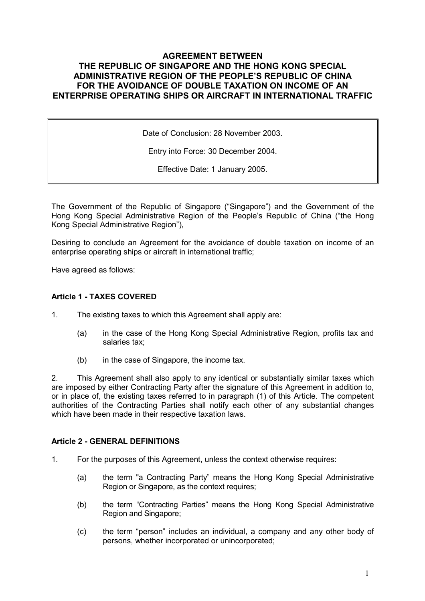# AGREEMENT BETWEEN THE REPUBLIC OF SINGAPORE AND THE HONG KONG SPECIAL ADMINISTRATIVE REGION OF THE PEOPLE'S REPUBLIC OF CHINA FOR THE AVOIDANCE OF DOUBLE TAXATION ON INCOME OF AN ENTERPRISE OPERATING SHIPS OR AIRCRAFT IN INTERNATIONAL TRAFFIC

Date of Conclusion: 28 November 2003.

Entry into Force: 30 December 2004.

Effective Date: 1 January 2005.

The Government of the Republic of Singapore ("Singapore") and the Government of the Hong Kong Special Administrative Region of the People's Republic of China ("the Hong Kong Special Administrative Region"),

Desiring to conclude an Agreement for the avoidance of double taxation on income of an enterprise operating ships or aircraft in international traffic;

Have agreed as follows:

## Article 1 - TAXES COVERED

- 1. The existing taxes to which this Agreement shall apply are:
	- (a) in the case of the Hong Kong Special Administrative Region, profits tax and salaries tax;
	- (b) in the case of Singapore, the income tax.

2. This Agreement shall also apply to any identical or substantially similar taxes which are imposed by either Contracting Party after the signature of this Agreement in addition to, or in place of, the existing taxes referred to in paragraph (1) of this Article. The competent authorities of the Contracting Parties shall notify each other of any substantial changes which have been made in their respective taxation laws.

### Article 2 - GENERAL DEFINITIONS

- 1. For the purposes of this Agreement, unless the context otherwise requires:
	- (a) the term "a Contracting Party" means the Hong Kong Special Administrative Region or Singapore, as the context requires;
	- (b) the term "Contracting Parties" means the Hong Kong Special Administrative Region and Singapore;
	- (c) the term "person" includes an individual, a company and any other body of persons, whether incorporated or unincorporated;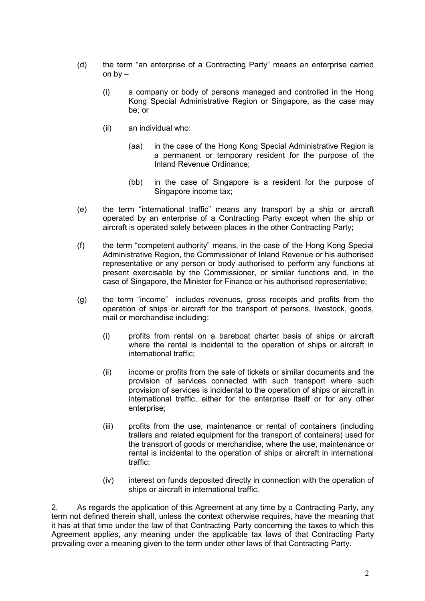- (d) the term "an enterprise of a Contracting Party" means an enterprise carried on  $bv -$ 
	- (i) a company or body of persons managed and controlled in the Hong Kong Special Administrative Region or Singapore, as the case may be; or
	- (ii) an individual who:
		- (aa) in the case of the Hong Kong Special Administrative Region is a permanent or temporary resident for the purpose of the Inland Revenue Ordinance;
		- (bb) in the case of Singapore is a resident for the purpose of Singapore income tax;
- (e) the term "international traffic" means any transport by a ship or aircraft operated by an enterprise of a Contracting Party except when the ship or aircraft is operated solely between places in the other Contracting Party;
- (f) the term "competent authority" means, in the case of the Hong Kong Special Administrative Region, the Commissioner of Inland Revenue or his authorised representative or any person or body authorised to perform any functions at present exercisable by the Commissioner, or similar functions and, in the case of Singapore, the Minister for Finance or his authorised representative;
- (g) the term "income" includes revenues, gross receipts and profits from the operation of ships or aircraft for the transport of persons, livestock, goods, mail or merchandise including:
	- (i) profits from rental on a bareboat charter basis of ships or aircraft where the rental is incidental to the operation of ships or aircraft in international traffic;
	- (ii) income or profits from the sale of tickets or similar documents and the provision of services connected with such transport where such provision of services is incidental to the operation of ships or aircraft in international traffic, either for the enterprise itself or for any other enterprise;
	- (iii) profits from the use, maintenance or rental of containers (including trailers and related equipment for the transport of containers) used for the transport of goods or merchandise, where the use, maintenance or rental is incidental to the operation of ships or aircraft in international traffic;
	- (iv) interest on funds deposited directly in connection with the operation of ships or aircraft in international traffic.

2. As regards the application of this Agreement at any time by a Contracting Party, any term not defined therein shall, unless the context otherwise requires, have the meaning that it has at that time under the law of that Contracting Party concerning the taxes to which this Agreement applies, any meaning under the applicable tax laws of that Contracting Party prevailing over a meaning given to the term under other laws of that Contracting Party.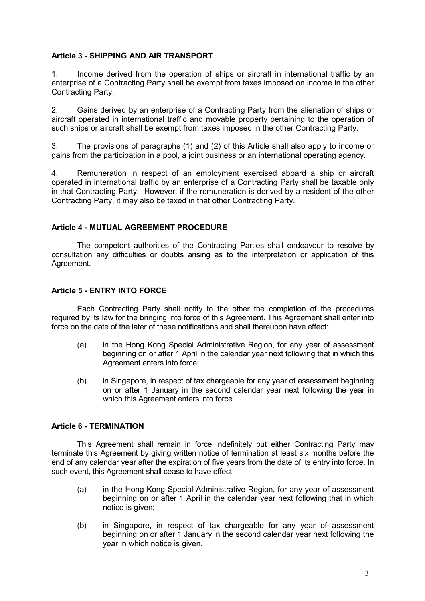## Article 3 - SHIPPING AND AIR TRANSPORT

1. Income derived from the operation of ships or aircraft in international traffic by an enterprise of a Contracting Party shall be exempt from taxes imposed on income in the other Contracting Party.

2. Gains derived by an enterprise of a Contracting Party from the alienation of ships or aircraft operated in international traffic and movable property pertaining to the operation of such ships or aircraft shall be exempt from taxes imposed in the other Contracting Party.

3. The provisions of paragraphs (1) and (2) of this Article shall also apply to income or gains from the participation in a pool, a joint business or an international operating agency.

4. Remuneration in respect of an employment exercised aboard a ship or aircraft operated in international traffic by an enterprise of a Contracting Party shall be taxable only in that Contracting Party. However, if the remuneration is derived by a resident of the other Contracting Party, it may also be taxed in that other Contracting Party.

### Article 4 - MUTUAL AGREEMENT PROCEDURE

 The competent authorities of the Contracting Parties shall endeavour to resolve by consultation any difficulties or doubts arising as to the interpretation or application of this Agreement.

### Article 5 - ENTRY INTO FORCE

 Each Contracting Party shall notify to the other the completion of the procedures required by its law for the bringing into force of this Agreement. This Agreement shall enter into force on the date of the later of these notifications and shall thereupon have effect:

- (a) in the Hong Kong Special Administrative Region, for any year of assessment beginning on or after 1 April in the calendar year next following that in which this Agreement enters into force;
- (b) in Singapore, in respect of tax chargeable for any year of assessment beginning on or after 1 January in the second calendar year next following the year in which this Agreement enters into force.

### Article 6 - TERMINATION

 This Agreement shall remain in force indefinitely but either Contracting Party may terminate this Agreement by giving written notice of termination at least six months before the end of any calendar year after the expiration of five years from the date of its entry into force. In such event, this Agreement shall cease to have effect:

- (a) in the Hong Kong Special Administrative Region, for any year of assessment beginning on or after 1 April in the calendar year next following that in which notice is given;
- (b) in Singapore, in respect of tax chargeable for any year of assessment beginning on or after 1 January in the second calendar year next following the year in which notice is given.